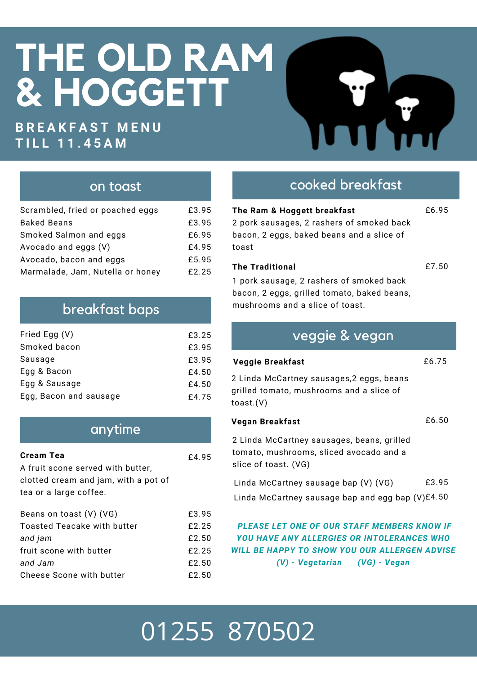**B R E A K F A S T M E N U T I L L 1 1 . 4 5 A M**



#### on toast

| Scrambled, fried or poached eggs | £3.95 |
|----------------------------------|-------|
| <b>Baked Beans</b>               | £3.95 |
| Smoked Salmon and eggs           | £6.95 |
| Avocado and eggs (V)             | £4.95 |
| Avocado, bacon and eggs          | £5.95 |
| Marmalade, Jam, Nutella or honey | £2.25 |

### breakfast baps

| Fried Egg (V)          | £3.25 |
|------------------------|-------|
| Smoked bacon           | £3.95 |
| Sausage                | £3.95 |
| Egg & Bacon            | £4.50 |
| Egg & Sausage          | £4.50 |
| Egg, Bacon and sausage | £4.75 |

#### anytime

#### **Cream Tea**

A fruit scone served with butter, clotted cream and jam, with a pot of tea or a large coffee.

| Beans on toast (V) (VG)     | £3.95 |
|-----------------------------|-------|
| Toasted Teacake with butter | £2.25 |
| and jam                     | £2.50 |
| fruit scone with butter     | £2.25 |
| and Jam                     | £2.50 |
| Cheese Scone with butter    | f2.50 |

### cooked breakfast

| The Ram & Hoggett breakfast<br>2 pork sausages, 2 rashers of smoked back<br>bacon, 2 eggs, baked beans and a slice of<br>toast | £6.95 |
|--------------------------------------------------------------------------------------------------------------------------------|-------|
| <b>The Traditional</b>                                                                                                         | £7.50 |
| 1 pork sausage, 2 rashers of smoked back<br>bacon, 2 eggs, grilled tomato, baked beans,<br>mushrooms and a slice of toast.     |       |
| veggie & vegan                                                                                                                 |       |
| <b>Veggie Breakfast</b>                                                                                                        | £6.75 |
| 2 Linda McCartney sausages,2 eggs, beans<br>grilled tomato, mushrooms and a slice of                                           |       |

toast.(V)

**Vegan Breakfast** £6.50

2 Linda McCartney sausages, beans, grilled tomato, mushrooms, sliced avocado and a slice of toast. (VG)

| Linda McCartney sausage bap (V) (VG) |  | £3.95 |
|--------------------------------------|--|-------|
|                                      |  |       |

Linda McCartney sausage bap and egg bap (V)£4.50

*PLEASE LET ONE OF OUR STAFF MEMBERS KNOW IF YOU HAVE ANY ALLERGIES OR INTOLERANCES WHO WILL BE HAPPY TO SHOW YOU OUR ALLERGEN ADVISE (V) - Vegetarian (VG) - Vegan*

## 01255 870502

£4.95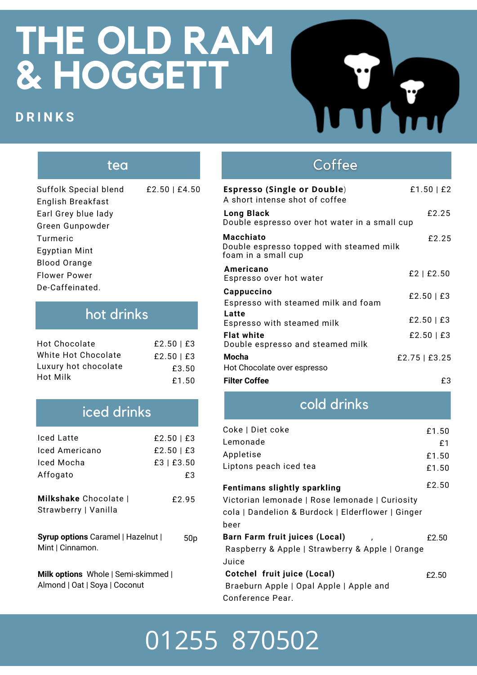#### **D R I N K S**



| tea                                                                                                                                                                         |             |
|-----------------------------------------------------------------------------------------------------------------------------------------------------------------------------|-------------|
| Suffolk Special blend<br>English Breakfast<br>Earl Grey blue lady<br>Green Gunpowder<br>Turmeric<br>Egyptian Mint<br>Blood Orange<br><b>Flower Power</b><br>De-Caffeinated. | £2.50   £4. |

| hot drinks |  |
|------------|--|
|            |  |

| Hot Chocolate        | $£2.50$ $E3$ |
|----------------------|--------------|
| White Hot Chocolate  | $£2.50$   £3 |
| Luxury hot chocolate | £3.50        |
| Hot Milk             | £1.50        |

## iced drinks

| Iced Latte<br>Iced Americano                                     | $£2.50$ $\mid$ $£3$<br>$£2.50$ $\mid$ $£3$ |
|------------------------------------------------------------------|--------------------------------------------|
| Iced Mocha                                                       | £3 £3.50                                   |
| Affogato<br><b>Milkshake</b> Chocolate I<br>Strawberry   Vanilla | £З<br>£2.95                                |
| Syrup options Caramel   Hazelnut  <br>Mint   Cinnamon.           |                                            |

**Milk options** Whole | Semi-skimmed | Almond | Oat | Soya | Coconut

### Coffee

| £2.50   £4.50 | <b>Espresso (Single or Double)</b><br>A short intense shot of coffee                | £1.50   £2    |
|---------------|-------------------------------------------------------------------------------------|---------------|
|               | <b>Long Black</b><br>Double espresso over hot water in a small cup                  | £2.25         |
|               | <b>Macchiato</b><br>Double espresso topped with steamed milk<br>foam in a small cup | £2.25         |
|               | Americano<br>Espresso over hot water                                                | £2   £2.50    |
|               | Cappuccino<br>Espresso with steamed milk and foam                                   | £2.50   £3    |
|               | Latte<br>Espresso with steamed milk                                                 | £2.50   £3    |
| £2.50   £3    | <b>Flat white</b><br>Double espresso and steamed milk                               | £2.50   £3    |
| £2.50   £3    | Mocha                                                                               | £2.75   £3.25 |
| £3.50         | Hot Chocolate over espresso                                                         |               |
| £1.50         | <b>Filter Coffee</b>                                                                | £3            |

## cold drinks

| Coke   Diet coke                                  | £1.50 |
|---------------------------------------------------|-------|
| Lemonade                                          | f1    |
| Appletise                                         | £1.50 |
| Liptons peach iced tea                            | £1.50 |
| <b>Fentimans slightly sparkling</b>               | £2.50 |
| Victorian lemonade   Rose lemonade   Curiosity    |       |
| cola   Dandelion & Burdock   Elderflower   Ginger |       |
| beer                                              |       |
| Barn Farm fruit juices (Local)<br>$\lambda$       | £2.50 |
| Raspberry & Apple   Strawberry & Apple   Orange   |       |
| Juice                                             |       |
| Cotchel fruit juice (Local)                       | £2.50 |
| Braeburn Apple   Opal Apple   Apple and           |       |
| Conference Pear.                                  |       |

## 01255 870502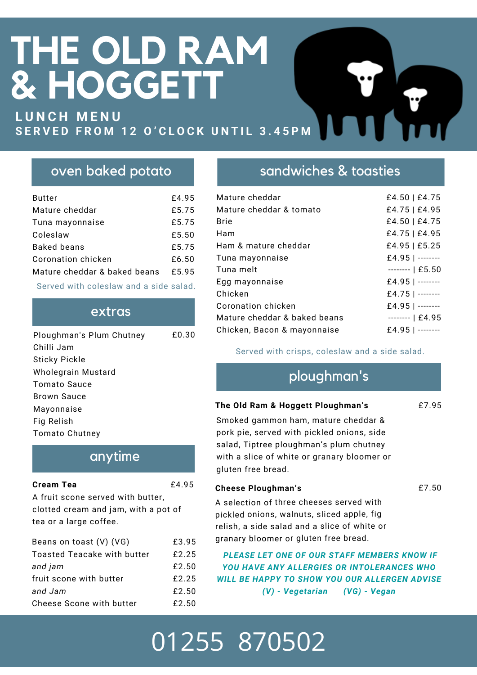**L U N C H M E N U** SERVED FROM 12 O'CLOCK UNTIL 3.45PM

#### oven baked potato

| <b>Butter</b>                | £4.95 |
|------------------------------|-------|
| Mature cheddar               | £5.75 |
| Tuna mayonnaise              | £5.75 |
| Coleslaw                     | £5.50 |
| <b>Baked beans</b>           | £5.75 |
| Coronation chicken           | £6.50 |
| Mature cheddar & baked beans | £5.95 |
|                              |       |

Served with coleslaw and a side salad.

#### extras

| Ploughman's Plum Chutney | £0.30 |
|--------------------------|-------|
| Chilli Jam               |       |
| <b>Sticky Pickle</b>     |       |
| Wholegrain Mustard       |       |
| Tomato Sauce             |       |
| Brown Sauce              |       |
| Mayonnaise               |       |
| Fig Relish               |       |
| Tomato Chutney           |       |
|                          |       |

#### anytime

£4.95

#### **Cream Tea**

A fruit scone served with butter, clotted cream and jam, with a pot of tea or a large coffee.

| £3.95 |
|-------|
| £2.25 |
| £2.50 |
| £2.25 |
| £2.50 |
| £2.50 |
|       |

#### sandwiches & toasties

| Mature cheddar               | £4.50   £4.75    |
|------------------------------|------------------|
| Mature cheddar & tomato      | £4.75   £4.95    |
| <b>Brie</b>                  | £4.50   £4.75    |
| Ham                          | £4.75   £4.95    |
| Ham & mature cheddar         | £4.95   £5.25    |
| Tuna mayonnaise              | £4.95   -------- |
| Tuna melt                    | $----$   £5.50   |
| Egg mayonnaise               | £4.95   -------- |
| Chicken                      | £4.75   -------- |
| Coronation chicken           | £4.95   -------- |
| Mature cheddar & baked beans | $-----$   £4.95  |
| Chicken, Bacon & mayonnaise  | £4.95   -------- |

Served with crisps, coleslaw and a side salad.

## ploughman's

#### **The Old Ram & Hoggett Ploughman's**

£7.95

Smoked gammon ham, mature cheddar & pork pie, served with pickled onions, side salad, Tiptree ploughman's plum chutney with a slice of white or granary bloomer or gluten free bread.

**Cheese Ploughman's** £7.50

A selection of three cheeses served with pickled onions, walnuts, sliced apple, fig relish, <sup>a</sup> side salad and <sup>a</sup> slice of white or granary bloomer or gluten free bread.

*PLEASE LET ONE OF OUR STAFF MEMBERS KNOW IF YOU HAVE ANY ALLERGIES OR INTOLERANCES WHO WILL BE HAPPY TO SHOW YOU OUR ALLERGEN ADVISE (V) - Vegetarian (VG) - Vegan*

## 01255 870502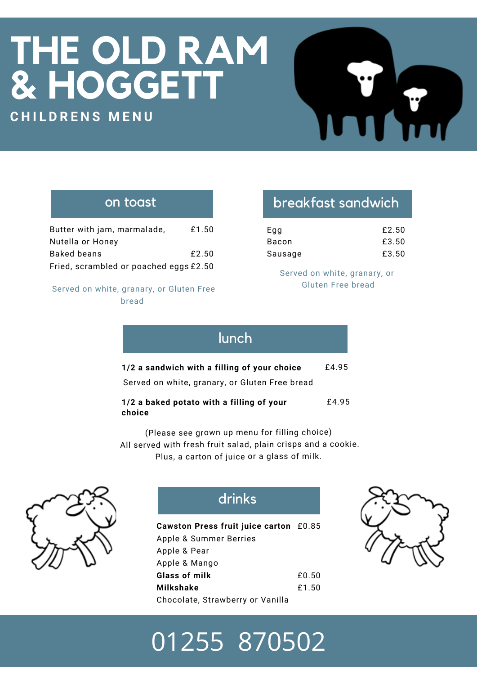**C H I L D R E N S M E N U**



#### on toast

| Butter with jam, marmalade,            | £1.50 |
|----------------------------------------|-------|
| Nutella or Honey                       |       |
| Baked beans                            | £2.50 |
| Fried, scrambled or poached eggs £2.50 |       |

#### Served on white, granary, or Gluten Free bread

## breakfast sandwich

| Egg     | £2.50 |
|---------|-------|
| Bacon   | £3.50 |
| Sausage | £3.50 |

Served on white, granary, or Gluten Free bread

| 1/2 a sandwich with a filling of your choice        | £4.95 |
|-----------------------------------------------------|-------|
| Served on white, granary, or Gluten Free bread      |       |
| 1/2 a baked potato with a filling of your<br>choice | £4.95 |

lunch

(Please see grown up menu for filling choice) All served with fresh fruit salad, plain crisps and <sup>a</sup> cookie. Plus, <sup>a</sup> carton of juice or <sup>a</sup> glass of milk.



| drinks                                 |       |
|----------------------------------------|-------|
| Cawston Press fruit juice carton £0.85 |       |
| Apple & Summer Berries                 |       |
| Apple & Pear                           |       |
| Apple & Mango                          |       |
| Glass of milk                          | £0.50 |
| <b>Milkshake</b>                       | £1.50 |
| Chocolate, Strawberry or Vanilla       |       |



## 01255 870502